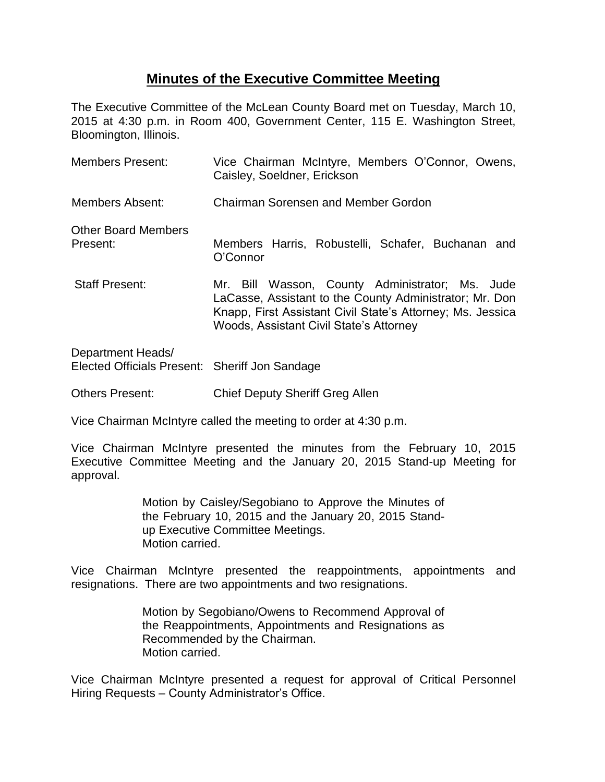## **Minutes of the Executive Committee Meeting**

The Executive Committee of the McLean County Board met on Tuesday, March 10, 2015 at 4:30 p.m. in Room 400, Government Center, 115 E. Washington Street, Bloomington, Illinois.

| Members Present:                       | Vice Chairman McIntyre, Members O'Connor, Owens,<br>Caisley, Soeldner, Erickson                                                                                                                                     |
|----------------------------------------|---------------------------------------------------------------------------------------------------------------------------------------------------------------------------------------------------------------------|
| Members Absent:                        | <b>Chairman Sorensen and Member Gordon</b>                                                                                                                                                                          |
| <b>Other Board Members</b><br>Present: | Members Harris, Robustelli, Schafer, Buchanan and<br>O'Connor                                                                                                                                                       |
| <b>Staff Present:</b>                  | Mr. Bill Wasson, County Administrator; Ms. Jude<br>LaCasse, Assistant to the County Administrator; Mr. Don<br>Knapp, First Assistant Civil State's Attorney; Ms. Jessica<br>Woods, Assistant Civil State's Attorney |
| Department Heads/                      |                                                                                                                                                                                                                     |

Elected Officials Present: Sheriff Jon Sandage

Others Present: Chief Deputy Sheriff Greg Allen

Vice Chairman McIntyre called the meeting to order at 4:30 p.m.

Vice Chairman McIntyre presented the minutes from the February 10, 2015 Executive Committee Meeting and the January 20, 2015 Stand-up Meeting for approval.

> Motion by Caisley/Segobiano to Approve the Minutes of the February 10, 2015 and the January 20, 2015 Standup Executive Committee Meetings. Motion carried.

Vice Chairman McIntyre presented the reappointments, appointments and resignations. There are two appointments and two resignations.

> Motion by Segobiano/Owens to Recommend Approval of the Reappointments, Appointments and Resignations as Recommended by the Chairman. Motion carried.

Vice Chairman McIntyre presented a request for approval of Critical Personnel Hiring Requests – County Administrator's Office.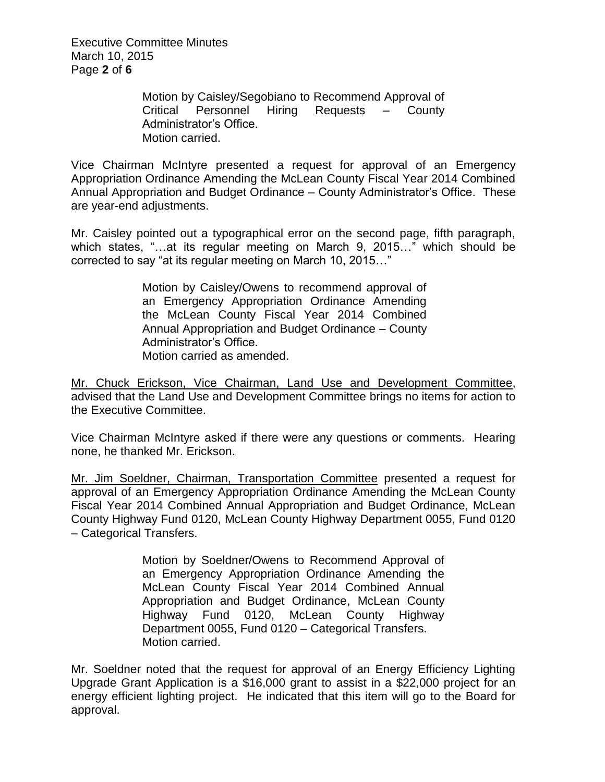Executive Committee Minutes March 10, 2015 Page **2** of **6**

> Motion by Caisley/Segobiano to Recommend Approval of Critical Personnel Hiring Requests – County Administrator's Office. Motion carried.

Vice Chairman McIntyre presented a request for approval of an Emergency Appropriation Ordinance Amending the McLean County Fiscal Year 2014 Combined Annual Appropriation and Budget Ordinance – County Administrator's Office. These are year-end adjustments.

Mr. Caisley pointed out a typographical error on the second page, fifth paragraph, which states, "…at its regular meeting on March 9, 2015…" which should be corrected to say "at its regular meeting on March 10, 2015…"

> Motion by Caisley/Owens to recommend approval of an Emergency Appropriation Ordinance Amending the McLean County Fiscal Year 2014 Combined Annual Appropriation and Budget Ordinance – County Administrator's Office. Motion carried as amended.

Mr. Chuck Erickson, Vice Chairman, Land Use and Development Committee, advised that the Land Use and Development Committee brings no items for action to the Executive Committee.

Vice Chairman McIntyre asked if there were any questions or comments. Hearing none, he thanked Mr. Erickson.

Mr. Jim Soeldner, Chairman, Transportation Committee presented a request for approval of an Emergency Appropriation Ordinance Amending the McLean County Fiscal Year 2014 Combined Annual Appropriation and Budget Ordinance, McLean County Highway Fund 0120, McLean County Highway Department 0055, Fund 0120 – Categorical Transfers.

> Motion by Soeldner/Owens to Recommend Approval of an Emergency Appropriation Ordinance Amending the McLean County Fiscal Year 2014 Combined Annual Appropriation and Budget Ordinance, McLean County Highway Fund 0120, McLean County Highway Department 0055, Fund 0120 – Categorical Transfers. Motion carried.

Mr. Soeldner noted that the request for approval of an Energy Efficiency Lighting Upgrade Grant Application is a \$16,000 grant to assist in a \$22,000 project for an energy efficient lighting project. He indicated that this item will go to the Board for approval.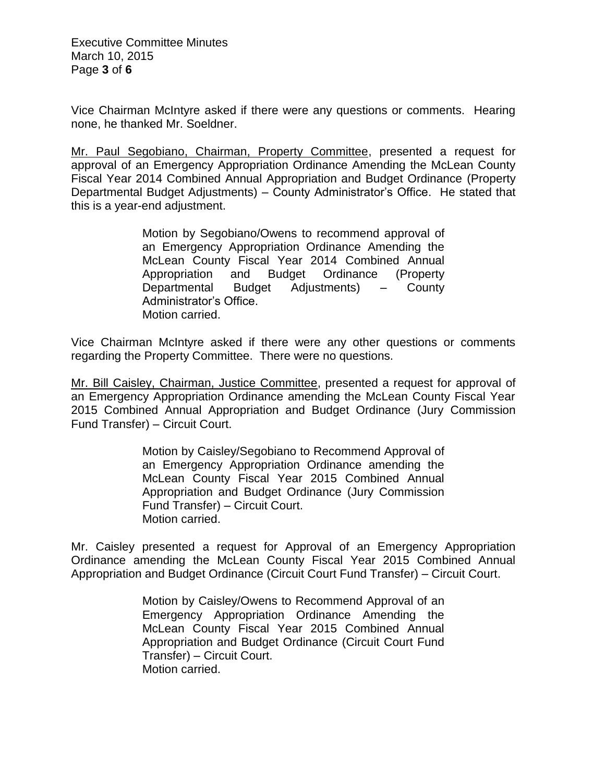Executive Committee Minutes March 10, 2015 Page **3** of **6**

Vice Chairman McIntyre asked if there were any questions or comments. Hearing none, he thanked Mr. Soeldner.

Mr. Paul Segobiano, Chairman, Property Committee, presented a request for approval of an Emergency Appropriation Ordinance Amending the McLean County Fiscal Year 2014 Combined Annual Appropriation and Budget Ordinance (Property Departmental Budget Adjustments) – County Administrator's Office. He stated that this is a year-end adjustment.

> Motion by Segobiano/Owens to recommend approval of an Emergency Appropriation Ordinance Amending the McLean County Fiscal Year 2014 Combined Annual Appropriation and Budget Ordinance (Property Departmental Budget Adjustments) – County Administrator's Office. Motion carried.

Vice Chairman McIntyre asked if there were any other questions or comments regarding the Property Committee. There were no questions.

Mr. Bill Caisley, Chairman, Justice Committee, presented a request for approval of an Emergency Appropriation Ordinance amending the McLean County Fiscal Year 2015 Combined Annual Appropriation and Budget Ordinance (Jury Commission Fund Transfer) – Circuit Court.

> Motion by Caisley/Segobiano to Recommend Approval of an Emergency Appropriation Ordinance amending the McLean County Fiscal Year 2015 Combined Annual Appropriation and Budget Ordinance (Jury Commission Fund Transfer) – Circuit Court. Motion carried.

Mr. Caisley presented a request for Approval of an Emergency Appropriation Ordinance amending the McLean County Fiscal Year 2015 Combined Annual Appropriation and Budget Ordinance (Circuit Court Fund Transfer) – Circuit Court.

> Motion by Caisley/Owens to Recommend Approval of an Emergency Appropriation Ordinance Amending the McLean County Fiscal Year 2015 Combined Annual Appropriation and Budget Ordinance (Circuit Court Fund Transfer) – Circuit Court. Motion carried.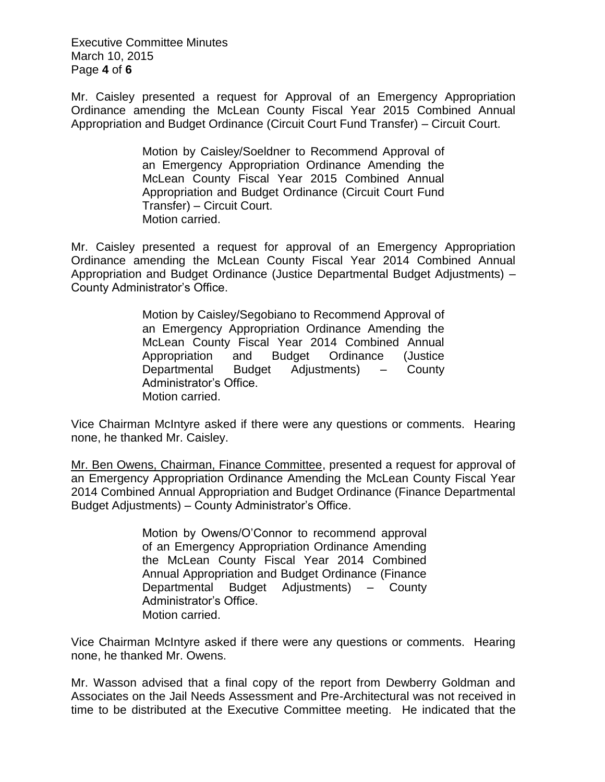Executive Committee Minutes March 10, 2015 Page **4** of **6**

Mr. Caisley presented a request for Approval of an Emergency Appropriation Ordinance amending the McLean County Fiscal Year 2015 Combined Annual Appropriation and Budget Ordinance (Circuit Court Fund Transfer) – Circuit Court.

> Motion by Caisley/Soeldner to Recommend Approval of an Emergency Appropriation Ordinance Amending the McLean County Fiscal Year 2015 Combined Annual Appropriation and Budget Ordinance (Circuit Court Fund Transfer) – Circuit Court. Motion carried.

Mr. Caisley presented a request for approval of an Emergency Appropriation Ordinance amending the McLean County Fiscal Year 2014 Combined Annual Appropriation and Budget Ordinance (Justice Departmental Budget Adjustments) – County Administrator's Office.

> Motion by Caisley/Segobiano to Recommend Approval of an Emergency Appropriation Ordinance Amending the McLean County Fiscal Year 2014 Combined Annual Appropriation and Budget Ordinance (Justice Departmental Budget Adjustments) – County Administrator's Office. Motion carried.

Vice Chairman McIntyre asked if there were any questions or comments. Hearing none, he thanked Mr. Caisley.

Mr. Ben Owens, Chairman, Finance Committee, presented a request for approval of an Emergency Appropriation Ordinance Amending the McLean County Fiscal Year 2014 Combined Annual Appropriation and Budget Ordinance (Finance Departmental Budget Adjustments) – County Administrator's Office.

> Motion by Owens/O'Connor to recommend approval of an Emergency Appropriation Ordinance Amending the McLean County Fiscal Year 2014 Combined Annual Appropriation and Budget Ordinance (Finance Departmental Budget Adjustments) – County Administrator's Office. Motion carried.

Vice Chairman McIntyre asked if there were any questions or comments. Hearing none, he thanked Mr. Owens.

Mr. Wasson advised that a final copy of the report from Dewberry Goldman and Associates on the Jail Needs Assessment and Pre-Architectural was not received in time to be distributed at the Executive Committee meeting. He indicated that the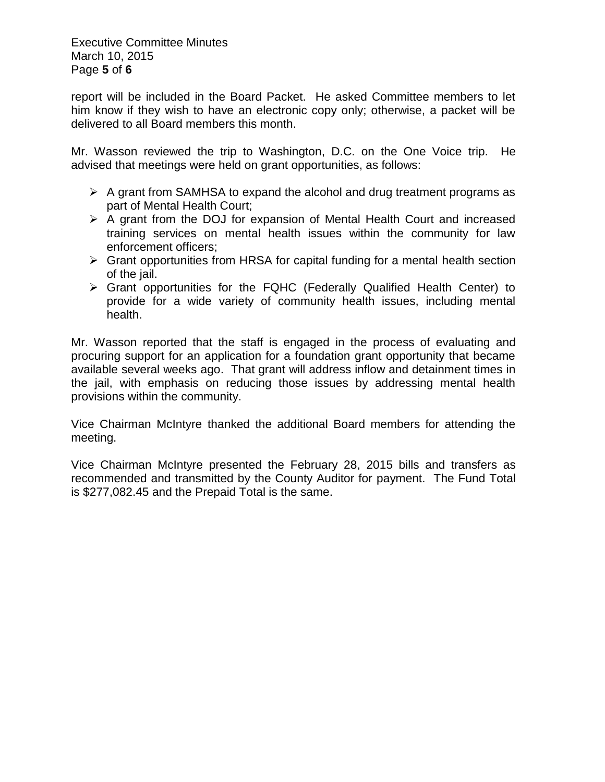Executive Committee Minutes March 10, 2015 Page **5** of **6**

report will be included in the Board Packet. He asked Committee members to let him know if they wish to have an electronic copy only; otherwise, a packet will be delivered to all Board members this month.

Mr. Wasson reviewed the trip to Washington, D.C. on the One Voice trip. He advised that meetings were held on grant opportunities, as follows:

- $\triangleright$  A grant from SAMHSA to expand the alcohol and drug treatment programs as part of Mental Health Court;
- $\triangleright$  A grant from the DOJ for expansion of Mental Health Court and increased training services on mental health issues within the community for law enforcement officers;
- $\triangleright$  Grant opportunities from HRSA for capital funding for a mental health section of the jail.
- Grant opportunities for the FQHC (Federally Qualified Health Center) to provide for a wide variety of community health issues, including mental health.

Mr. Wasson reported that the staff is engaged in the process of evaluating and procuring support for an application for a foundation grant opportunity that became available several weeks ago. That grant will address inflow and detainment times in the jail, with emphasis on reducing those issues by addressing mental health provisions within the community.

Vice Chairman McIntyre thanked the additional Board members for attending the meeting.

Vice Chairman McIntyre presented the February 28, 2015 bills and transfers as recommended and transmitted by the County Auditor for payment. The Fund Total is \$277,082.45 and the Prepaid Total is the same.